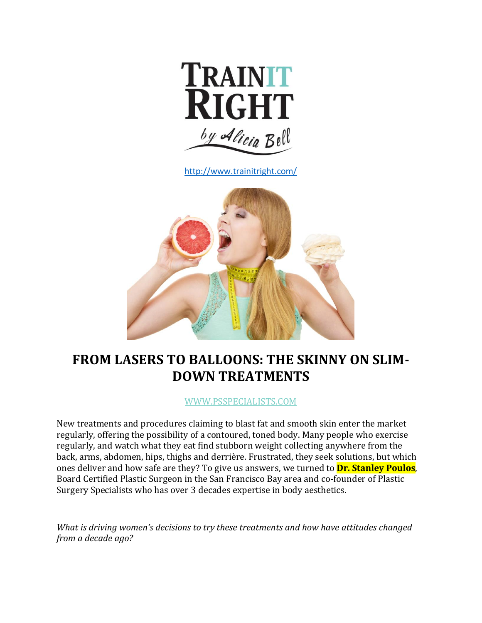

<http://www.trainitright.com/>



# **FROM LASERS TO BALLOONS: THE SKINNY ON SLIM-DOWN TREATMENTS**

[WWW.PSSPECIALISTS.COM](http://www.psspecialists.com/)

New treatments and procedures claiming to blast fat and smooth skin enter the market regularly, offering the possibility of a contoured, toned body. Many people who exercise regularly, and watch what they eat find stubborn weight collecting anywhere from the back, arms, abdomen, hips, thighs and derrière. Frustrated, they seek solutions, but which ones deliver and how safe are they? To give us answers, we turned to **Dr. Stanley Poulos**, Board Certified Plastic Surgeon in the San Francisco Bay area and co-founder of Plastic Surgery Specialists who has over 3 decades expertise in body aesthetics.

*What is driving women's decisions to try these treatments and how have attitudes changed from a decade ago?*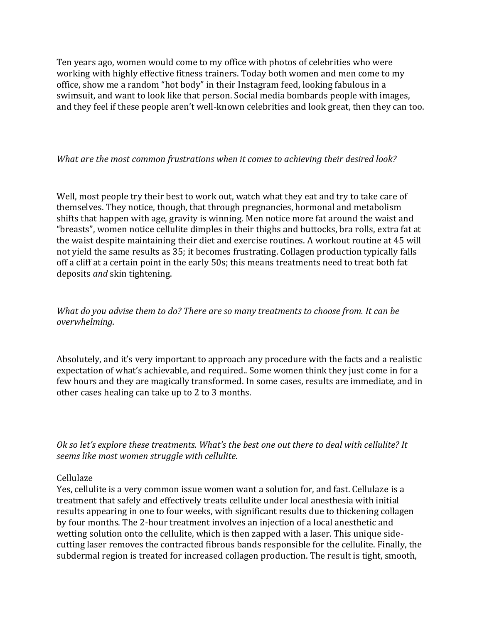Ten years ago, women would come to my office with photos of celebrities who were working with highly effective fitness trainers. Today both women and men come to my office, show me a random "hot body" in their Instagram feed, looking fabulous in a swimsuit, and want to look like that person. Social media bombards people with images, and they feel if these people aren't well-known celebrities and look great, then they can too.

### *What are the most common frustrations when it comes to achieving their desired look?*

Well, most people try their best to work out, watch what they eat and try to take care of themselves. They notice, though, that through pregnancies, hormonal and metabolism shifts that happen with age, gravity is winning. Men notice more fat around the waist and "breasts", women notice cellulite dimples in their thighs and buttocks, bra rolls, extra fat at the waist despite maintaining their diet and exercise routines. A workout routine at 45 will not yield the same results as 35; it becomes frustrating. Collagen production typically falls off a cliff at a certain point in the early 50s; this means treatments need to treat both fat deposits *and* skin tightening.

*What do you advise them to do? There are so many treatments to choose from. It can be overwhelming.*

Absolutely, and it's very important to approach any procedure with the facts and a realistic expectation of what's achievable, and required.. Some women think they just come in for a few hours and they are magically transformed. In some cases, results are immediate, and in other cases healing can take up to 2 to 3 months.

*Ok so let's explore these treatments. What's the best one out there to deal with cellulite? It seems like most women struggle with cellulite.*

## Cellulaze

Yes, cellulite is a very common issue women want a solution for, and fast. Cellulaze is a treatment that safely and effectively treats cellulite under local anesthesia with initial results appearing in one to four weeks, with significant results due to thickening collagen by four months. The 2-hour treatment involves an injection of a local anesthetic and wetting solution onto the cellulite, which is then zapped with a laser. This unique sidecutting laser removes the contracted fibrous bands responsible for the cellulite. Finally, the subdermal region is treated for increased collagen production. The result is tight, smooth,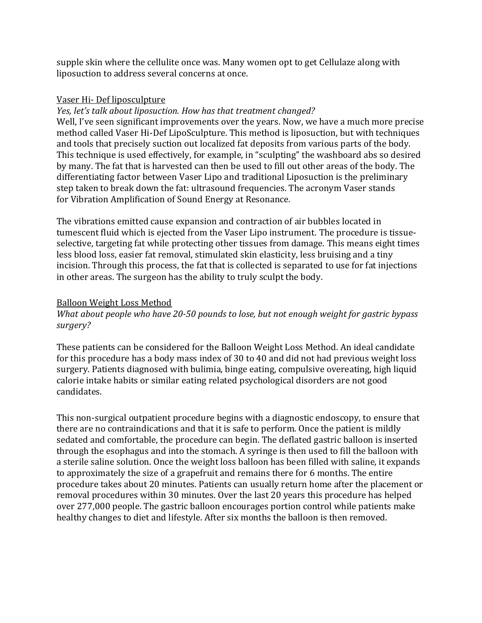supple skin where the cellulite once was. Many women opt to get Cellulaze along with liposuction to address several concerns at once.

## Vaser Hi- Def liposculpture

#### *Yes, let's talk about liposuction. How has that treatment changed?*

Well, I've seen significant improvements over the years. Now, we have a much more precise method called Vaser Hi-Def LipoSculpture. This method is liposuction, but with techniques and tools that precisely suction out localized fat deposits from various parts of the body. This technique is used effectively, for example, in "sculpting" the washboard abs so desired by many. The fat that is harvested can then be used to fill out other areas of the body. The differentiating factor between Vaser Lipo and traditional Liposuction is the preliminary step taken to break down the fat: ultrasound frequencies. The acronym Vaser stands for Vibration Amplification of Sound Energy at Resonance.

The vibrations emitted cause expansion and contraction of air bubbles located in tumescent fluid which is ejected from the Vaser Lipo instrument. The procedure is tissueselective, targeting fat while protecting other tissues from damage. This means eight times less blood loss, easier fat removal, stimulated skin elasticity, less bruising and a tiny incision. Through this process, the fat that is collected is separated to use for fat injections in other areas. The surgeon has the ability to truly sculpt the body.

#### Balloon Weight Loss Method

## *What about people who have 20-50 pounds to lose, but not enough weight for gastric bypass surgery?*

These patients can be considered for the Balloon Weight Loss Method. An ideal candidate for this procedure has a body mass index of 30 to 40 and did not had previous weight loss surgery. Patients diagnosed with bulimia, binge eating, compulsive overeating, high liquid calorie intake habits or similar eating related psychological disorders are not good candidates.

This non-surgical outpatient procedure begins with a diagnostic endoscopy, to ensure that there are no contraindications and that it is safe to perform. Once the patient is mildly sedated and comfortable, the procedure can begin. The deflated gastric balloon is inserted through the esophagus and into the stomach. A syringe is then used to fill the balloon with a sterile saline solution. Once the weight loss balloon has been filled with saline, it expands to approximately the size of a grapefruit and remains there for 6 months. The entire procedure takes about 20 minutes. Patients can usually return home after the placement or removal procedures within 30 minutes. Over the last 20 years this procedure has helped over 277,000 people. The gastric balloon encourages portion control while patients make healthy changes to diet and lifestyle. After six months the balloon is then removed.